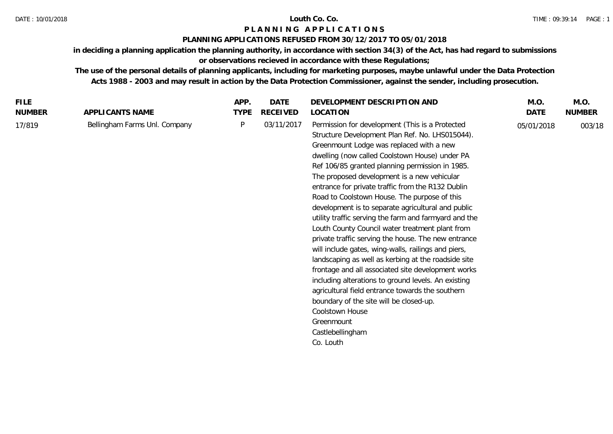# **P L A N N I N G A P P L I C A T I O N S**

# **PLANNING APPLICATIONS REFUSED FROM 30/12/2017 TO 05/01/2018**

**in deciding a planning application the planning authority, in accordance with section 34(3) of the Act, has had regard to submissions or observations recieved in accordance with these Regulations;**

**The use of the personal details of planning applicants, including for marketing purposes, maybe unlawful under the Data Protection Acts 1988 - 2003 and may result in action by the Data Protection Commissioner, against the sender, including prosecution.**

| <b>FILE</b>   |                               | APP.        | <b>DATE</b> | DEVELOPMENT DESCRIPTION AND                                                                                                                                                                                                                                                                                                                                                                                                                                                                                                                                                                                                                                                                                                                                                                                                                                                                                                                                                                                                  | M.O.       | M.O.          |
|---------------|-------------------------------|-------------|-------------|------------------------------------------------------------------------------------------------------------------------------------------------------------------------------------------------------------------------------------------------------------------------------------------------------------------------------------------------------------------------------------------------------------------------------------------------------------------------------------------------------------------------------------------------------------------------------------------------------------------------------------------------------------------------------------------------------------------------------------------------------------------------------------------------------------------------------------------------------------------------------------------------------------------------------------------------------------------------------------------------------------------------------|------------|---------------|
| <b>NUMBER</b> | APPLICANTS NAME               | <b>TYPE</b> | RECEIVED    | LOCATION                                                                                                                                                                                                                                                                                                                                                                                                                                                                                                                                                                                                                                                                                                                                                                                                                                                                                                                                                                                                                     | DATE       | <b>NUMBER</b> |
| 17/819        | Bellingham Farms Unl. Company | P           | 03/11/2017  | Permission for development (This is a Protected<br>Structure Development Plan Ref. No. LHS015044).<br>Greenmount Lodge was replaced with a new<br>dwelling (now called Coolstown House) under PA<br>Ref 106/85 granted planning permission in 1985.<br>The proposed development is a new vehicular<br>entrance for private traffic from the R132 Dublin<br>Road to Coolstown House. The purpose of this<br>development is to separate agricultural and public<br>utility traffic serving the farm and farmyard and the<br>Louth County Council water treatment plant from<br>private traffic serving the house. The new entrance<br>will include gates, wing-walls, railings and piers,<br>landscaping as well as kerbing at the roadside site<br>frontage and all associated site development works<br>including alterations to ground levels. An existing<br>agricultural field entrance towards the southern<br>boundary of the site will be closed-up.<br>Coolstown House<br>Greenmount<br>Castlebellingham<br>Co. Louth | 05/01/2018 | 003/18        |